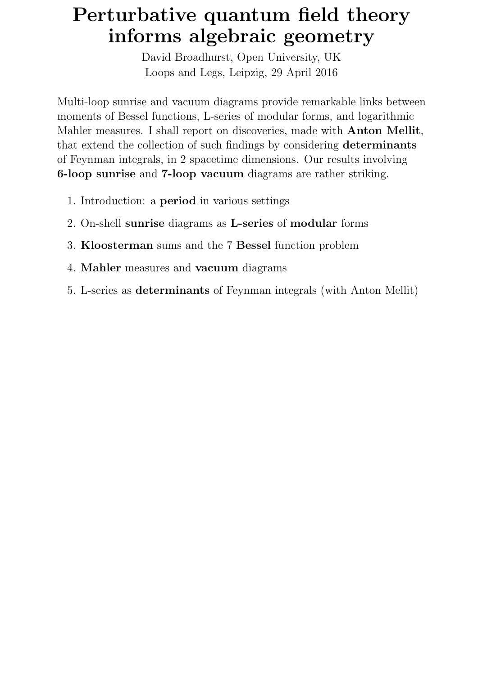# Perturbative quantum field theory informs algebraic geometry

David Broadhurst, Open University, UK Loops and Legs, Leipzig, 29 April 2016

Multi-loop sunrise and vacuum diagrams provide remarkable links between moments of Bessel functions, L-series of modular forms, and logarithmic Mahler measures. I shall report on discoveries, made with Anton Mellit, that extend the collection of such findings by considering determinants of Feynman integrals, in 2 spacetime dimensions. Our results involving 6-loop sunrise and 7-loop vacuum diagrams are rather striking.

- 1. Introduction: a period in various settings
- 2. On-shell sunrise diagrams as L-series of modular forms
- 3. Kloosterman sums and the 7 Bessel function problem
- 4. Mahler measures and vacuum diagrams
- 5. L-series as determinants of Feynman integrals (with Anton Mellit)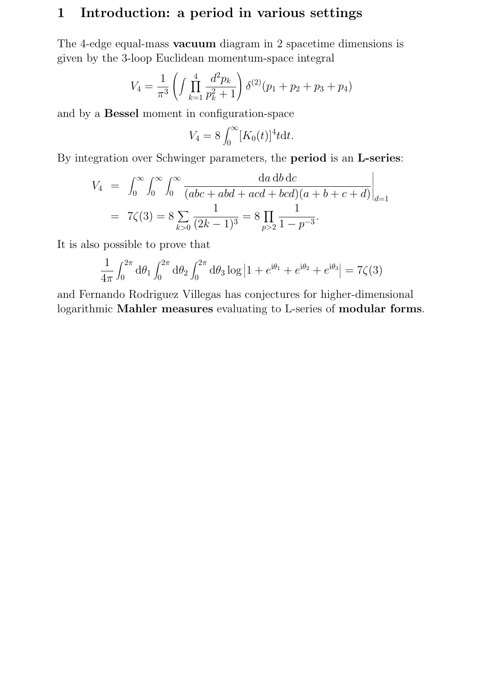# 1 Introduction: a period in various settings

The 4-edge equal-mass vacuum diagram in 2 spacetime dimensions is given by the 3-loop Euclidean momentum-space integral

$$
V_4 = \frac{1}{\pi^3} \left( \int \prod_{k=1}^4 \frac{d^2 p_k}{p_k^2 + 1} \right) \delta^{(2)}(p_1 + p_2 + p_3 + p_4)
$$

and by a Bessel moment in configuration-space

$$
V_4 = 8 \int_0^\infty [K_0(t)]^4 t \mathrm{d}t.
$$

By integration over Schwinger parameters, the period is an L-series:

$$
V_4 = \int_0^\infty \int_0^\infty \int_0^\infty \frac{da \, db \, dc}{(abc + abd + acd + bcd)(a + b + c + d)} \Big|_{d=1}
$$
  
=  $7\zeta(3) = 8 \sum_{k>0} \frac{1}{(2k-1)^3} = 8 \prod_{p>2} \frac{1}{1 - p^{-3}}.$ 

It is also possible to prove that

$$
\frac{1}{4\pi} \int_0^{2\pi} d\theta_1 \int_0^{2\pi} d\theta_2 \int_0^{2\pi} d\theta_3 \log |1 + e^{i\theta_1} + e^{i\theta_2} + e^{i\theta_3}| = 7\zeta(3)
$$

and Fernando Rodriguez Villegas has conjectures for higher-dimensional logarithmic Mahler measures evaluating to L-series of modular forms.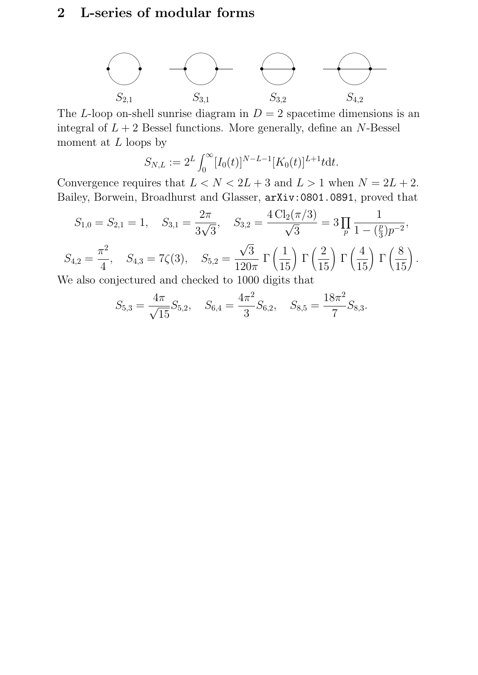# 2 L-series of modular forms



The L-loop on-shell sunrise diagram in  $D = 2$  spacetime dimensions is an integral of  $L + 2$  Bessel functions. More generally, define an N-Bessel moment at  ${\cal L}$  loops by

$$
S_{N,L} := 2^L \int_0^\infty [I_0(t)]^{N-L-1} [K_0(t)]^{L+1} t \mathrm{d}t.
$$

Convergence requires that  $L < N < 2L + 3$  and  $L > 1$  when  $N = 2L + 2$ . Bailey, Borwein, Broadhurst and Glasser, arXiv:0801.0891, proved that

$$
S_{1,0} = S_{2,1} = 1, \quad S_{3,1} = \frac{2\pi}{3\sqrt{3}}, \quad S_{3,2} = \frac{4\,\text{Cl}_2(\pi/3)}{\sqrt{3}} = 3\,\prod_p \frac{1}{1 - \left(\frac{p}{3}\right)p^{-2}},
$$
\n
$$
S_{4,2} = \frac{\pi^2}{4}, \quad S_{4,3} = 7\zeta(3), \quad S_{5,2} = \frac{\sqrt{3}}{120\pi} \,\Gamma\left(\frac{1}{15}\right) \Gamma\left(\frac{2}{15}\right) \Gamma\left(\frac{4}{15}\right) \Gamma\left(\frac{8}{15}\right).
$$
\nWe also conjectured and checked to 1000 digits that

We also conjectured and checked to 1000 digits that

$$
S_{5,3} = \frac{4\pi}{\sqrt{15}} S_{5,2}, \quad S_{6,4} = \frac{4\pi^2}{3} S_{6,2}, \quad S_{8,5} = \frac{18\pi^2}{7} S_{8,3}.
$$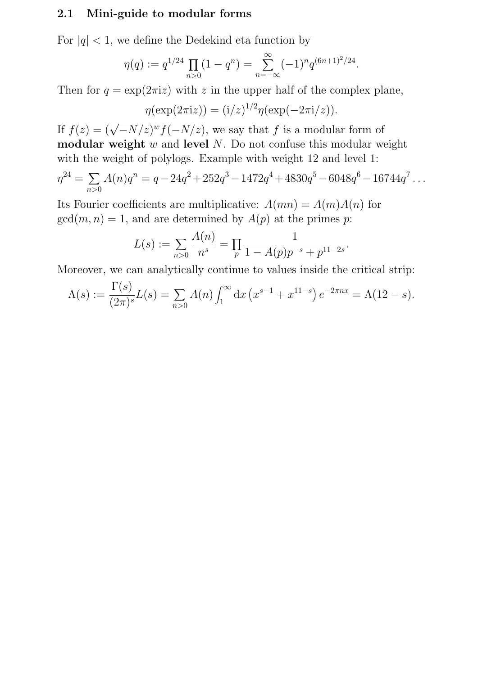#### 2.1 Mini-guide to modular forms

For  $|q|$  < 1, we define the Dedekind eta function by

$$
\eta(q) := q^{1/24} \prod_{n>0} (1 - q^n) = \sum_{n=-\infty}^{\infty} (-1)^n q^{(6n+1)^2/24}.
$$

Then for  $q = \exp(2\pi i z)$  with z in the upper half of the complex plane,

$$
\eta(\exp(2\pi i z)) = (i/z)^{1/2}\eta(\exp(-2\pi i/z)).
$$

If  $f(z) = (\sqrt{-N/z})^w f(-N/z)$ , we say that f is a modular form of modular weight  $w$  and level  $N$ . Do not confuse this modular weight with the weight of polylogs. Example with weight 12 and level 1:

$$
\eta^{24} = \sum_{n>0} A(n)q^n = q - 24q^2 + 252q^3 - 1472q^4 + 4830q^5 - 6048q^6 - 16744q^7 \dots
$$

Its Fourier coefficients are multiplicative:  $A(mn) = A(m)A(n)$  for  $gcd(m, n) = 1$ , and are determined by  $A(p)$  at the primes p:

$$
L(s) := \sum_{n>0} \frac{A(n)}{n^s} = \prod_p \frac{1}{1 - A(p)p^{-s} + p^{11-2s}}.
$$

Moreover, we can analytically continue to values inside the critical strip:

$$
\Lambda(s) := \frac{\Gamma(s)}{(2\pi)^s} L(s) = \sum_{n>0} A(n) \int_1^\infty dx \left( x^{s-1} + x^{11-s} \right) e^{-2\pi nx} = \Lambda(12 - s).
$$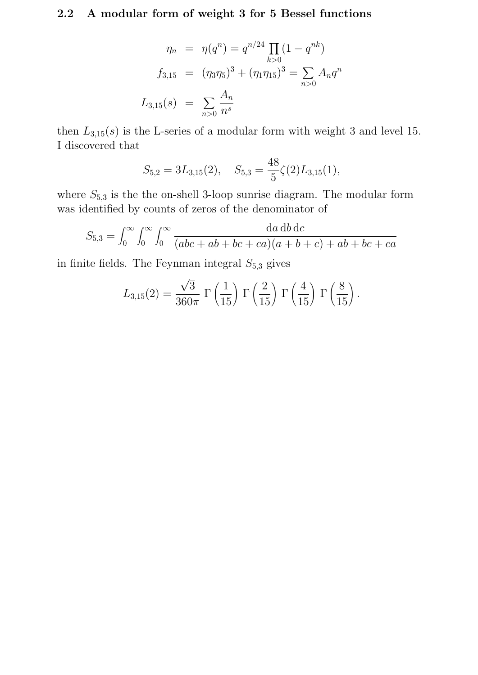# 2.2 A modular form of weight 3 for 5 Bessel functions

$$
\eta_n = \eta(q^n) = q^{n/24} \prod_{k>0} (1 - q^{nk})
$$
  

$$
f_{3,15} = (\eta_3 \eta_5)^3 + (\eta_1 \eta_{15})^3 = \sum_{n>0} A_n q^n
$$
  

$$
L_{3,15}(s) = \sum_{n>0} \frac{A_n}{n^s}
$$

then  $L_{3,15}(s)$  is the L-series of a modular form with weight 3 and level 15. I discovered that

$$
S_{5,2} = 3L_{3,15}(2), \quad S_{5,3} = \frac{48}{5}\zeta(2)L_{3,15}(1),
$$

where  $S_{5,3}$  is the the on-shell 3-loop sunrise diagram. The modular form was identified by counts of zeros of the denominator of

$$
S_{5,3} = \int_0^\infty \int_0^\infty \int_0^\infty \frac{da \, db \, dc}{(abc + ab + bc + ca)(a + b + c) + ab + bc + ca}
$$

in finite fields. The Feynman integral  $S_{5,3}$  gives

$$
L_{3,15}(2) = \frac{\sqrt{3}}{360\pi} \Gamma\left(\frac{1}{15}\right) \Gamma\left(\frac{2}{15}\right) \Gamma\left(\frac{4}{15}\right) \Gamma\left(\frac{8}{15}\right).
$$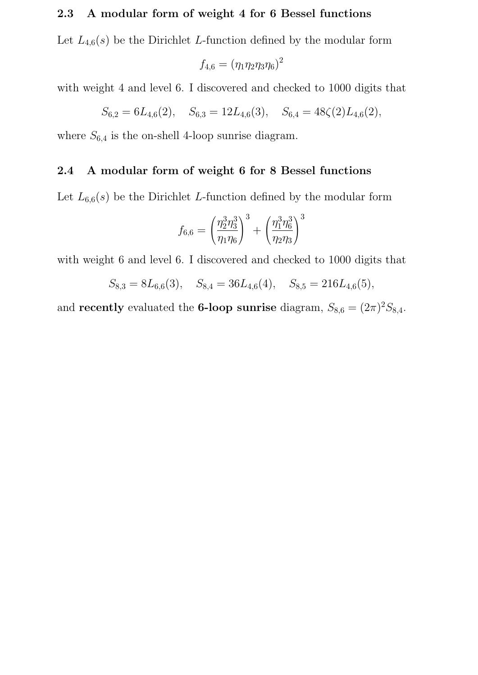### 2.3 A modular form of weight 4 for 6 Bessel functions

Let  $L_{4,6}(s)$  be the Dirichlet L-function defined by the modular form

$$
f_{4,6} = (\eta_1 \eta_2 \eta_3 \eta_6)^2
$$

with weight 4 and level 6. I discovered and checked to 1000 digits that

$$
S_{6,2} = 6L_{4,6}(2), \quad S_{6,3} = 12L_{4,6}(3), \quad S_{6,4} = 48\zeta(2)L_{4,6}(2),
$$

where  $S_{6,4}$  is the on-shell 4-loop sunrise diagram.

#### 2.4 A modular form of weight 6 for 8 Bessel functions

Let  $L_{6,6}(s)$  be the Dirichlet L-function defined by the modular form

$$
f_{6,6}=\left(\frac{\eta_2^3\eta_3^3}{\eta_1\eta_6}\right)^3+\left(\frac{\eta_1^3\eta_6^3}{\eta_2\eta_3}\right)^3
$$

with weight 6 and level 6. I discovered and checked to 1000 digits that

$$
S_{8,3} = 8L_{6,6}(3)
$$
,  $S_{8,4} = 36L_{4,6}(4)$ ,  $S_{8,5} = 216L_{4,6}(5)$ ,

and recently evaluated the 6-loop sunrise diagram,  $S_{8,6} = (2\pi)^2 S_{8,4}$ .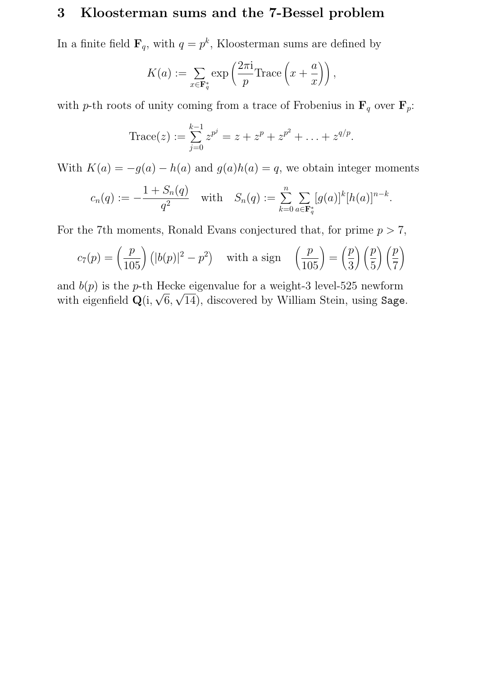## 3 Kloosterman sums and the 7-Bessel problem

In a finite field  $\mathbf{F}_q$ , with  $q = p^k$ , Kloosterman sums are defined by

$$
K(a) := \sum_{x \in \mathbf{F}_q^*} \exp\left(\frac{2\pi i}{p} \text{Trace}\left(x + \frac{a}{x}\right)\right),\,
$$

with p-th roots of unity coming from a trace of Frobenius in  $\mathbf{F}_q$  over  $\mathbf{F}_p$ :

Trace(z) := 
$$
\sum_{j=0}^{k-1} z^{p^j} = z + z^p + z^{p^2} + \ldots + z^{q/p}
$$
.

With  $K(a) = -g(a) - h(a)$  and  $g(a)h(a) = q$ , we obtain integer moments

$$
c_n(q) := -\frac{1+S_n(q)}{q^2} \quad \text{with} \quad S_n(q) := \sum_{k=0}^n \sum_{a \in \mathbf{F}_q^*} [g(a)]^k [h(a)]^{n-k}.
$$

For the 7<sup>th</sup> moments, Ronald Evans conjectured that, for prime  $p > 7$ ,

$$
c_7(p) = \left(\frac{p}{105}\right) \left(|b(p)|^2 - p^2\right) \quad \text{with a sign} \quad \left(\frac{p}{105}\right) = \left(\frac{p}{3}\right) \left(\frac{p}{5}\right) \left(\frac{p}{7}\right)
$$

and  $b(p)$  is the p-th Hecke eigenvalue for a weight-3 level-525 newform with eigenfield  $\mathbf{Q}(\mathbf{i},\sqrt{6},\sqrt{14})$ , discovered by William Stein, using Sage.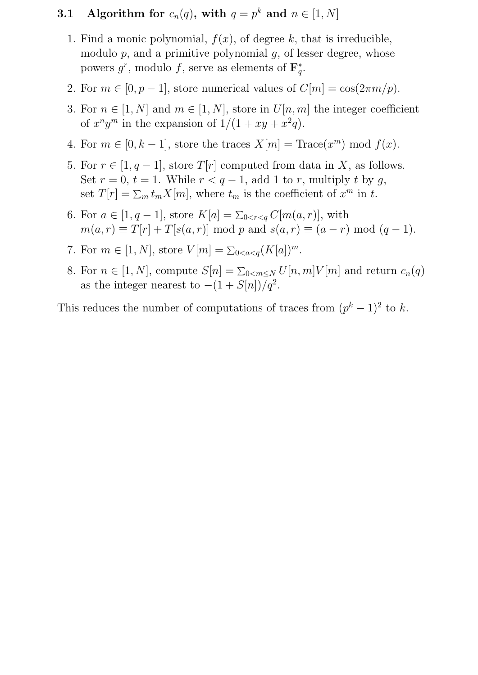## **3.1** Algorithm for  $c_n(q)$ , with  $q = p^k$  and  $n \in [1, N]$

- 1. Find a monic polynomial,  $f(x)$ , of degree k, that is irreducible, modulo  $p$ , and a primitive polynomial  $g$ , of lesser degree, whose powers  $g^r$ , modulo f, serve as elements of  $\mathbf{F}_a^*$  $q^*$
- 2. For  $m \in [0, p-1]$ , store numerical values of  $C[m] = \cos(2\pi m/p)$ .
- 3. For  $n \in [1, N]$  and  $m \in [1, N]$ , store in  $U[n, m]$  the integer coefficient of  $x^n y^m$  in the expansion of  $1/(1 + xy + x^2 q)$ .
- 4. For  $m \in [0, k-1]$ , store the traces  $X[m] = \text{Trace}(x^m) \text{ mod } f(x)$ .
- 5. For  $r \in [1, q-1]$ , store  $T[r]$  computed from data in X, as follows. Set  $r = 0$ ,  $t = 1$ . While  $r < q - 1$ , add 1 to r, multiply t by g, set  $T[r] = \sum_m t_m X[m]$ , where  $t_m$  is the coefficient of  $x^m$  in t.
- 6. For  $a \in [1, q-1]$ , store  $K[a] = \sum_{0 < r < q} C[m(a, r)]$ , with  $m(a, r) \equiv T[r] + T[s(a, r)] \mod p$  and  $s(a, r) \equiv (a - r) \mod (q - 1)$ .
- 7. For  $m \in [1, N]$ , store  $V[m] = \sum_{0 < a < q} (K[a])^m$ .
- 8. For  $n \in [1, N]$ , compute  $S[n] = \sum_{0 \le m \le N} U[n, m] V[m]$  and return  $c_n(q)$ as the integer nearest to  $-(1+S[n])/q^2$ .

This reduces the number of computations of traces from  $(p<sup>k</sup> - 1)<sup>2</sup>$  to k.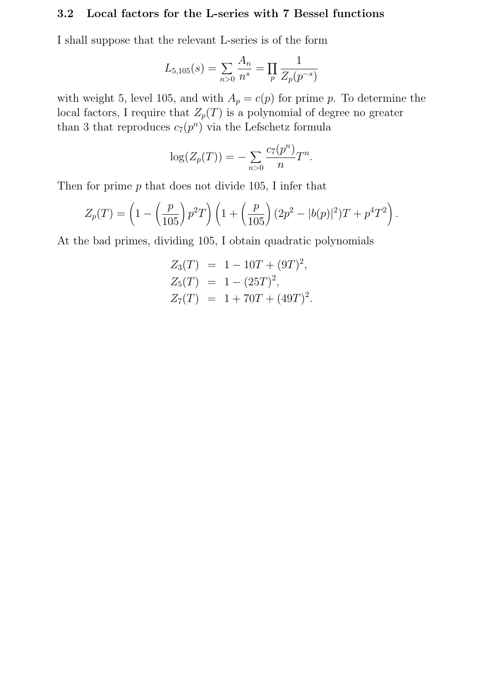#### 3.2 Local factors for the L-series with 7 Bessel functions

I shall suppose that the relevant L-series is of the form

$$
L_{5,105}(s) = \sum_{n>0} \frac{A_n}{n^s} = \prod_p \frac{1}{Z_p(p^{-s})}
$$

with weight 5, level 105, and with  $A_p = c(p)$  for prime p. To determine the local factors, I require that  $Z_p(T)$  is a polynomial of degree no greater than 3 that reproduces  $c_7(p^n)$  via the Lefschetz formula

$$
\log(Z_p(T)) = -\sum_{n>0} \frac{c_7(p^n)}{n} T^n.
$$

Then for prime  $p$  that does not divide 105, I infer that

$$
Z_p(T) = \left(1 - \left(\frac{p}{105}\right)p^2T\right)\left(1 + \left(\frac{p}{105}\right)(2p^2 - |b(p)|^2)T + p^4T^2\right).
$$

At the bad primes, dividing 105, I obtain quadratic polynomials

$$
Z_3(T) = 1 - 10T + (9T)^2,
$$
  
\n
$$
Z_5(T) = 1 - (25T)^2,
$$
  
\n
$$
Z_7(T) = 1 + 70T + (49T)^2.
$$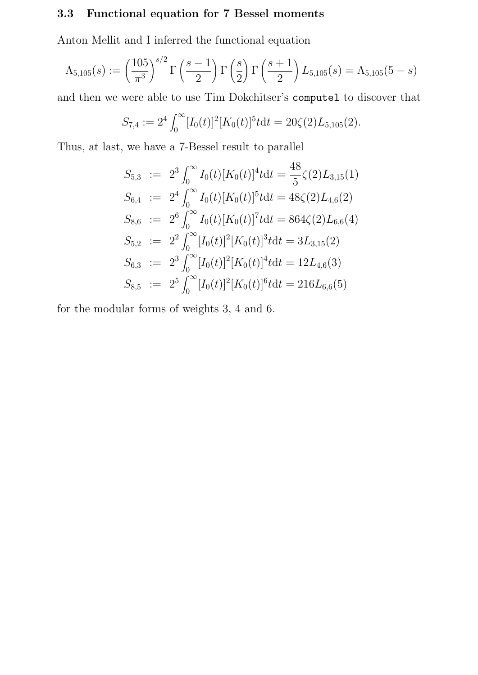## 3.3 Functional equation for 7 Bessel moments

Anton Mellit and I inferred the functional equation

$$
\Lambda_{5,105}(s) := \left(\frac{105}{\pi^3}\right)^{s/2} \Gamma\left(\frac{s-1}{2}\right) \Gamma\left(\frac{s}{2}\right) \Gamma\left(\frac{s+1}{2}\right) L_{5,105}(s) = \Lambda_{5,105}(5-s)
$$

and then we were able to use Tim Dokchitser's computel to discover that

$$
S_{7,4} := 2^4 \int_0^\infty [I_0(t)]^2 [K_0(t)]^5 t dt = 20 \zeta(2) L_{5,105}(2).
$$

Thus, at last, we have a 7-Bessel result to parallel

$$
S_{5,3} := 2^3 \int_0^\infty I_0(t) [K_0(t)]^4 t dt = \frac{48}{5} \zeta(2) L_{3,15}(1)
$$
  
\n
$$
S_{6,4} := 2^4 \int_0^\infty I_0(t) [K_0(t)]^5 t dt = 48 \zeta(2) L_{4,6}(2)
$$
  
\n
$$
S_{8,6} := 2^6 \int_0^\infty I_0(t) [K_0(t)]^7 t dt = 864 \zeta(2) L_{6,6}(4)
$$
  
\n
$$
S_{5,2} := 2^2 \int_0^\infty [I_0(t)]^2 [K_0(t)]^3 t dt = 3L_{3,15}(2)
$$
  
\n
$$
S_{6,3} := 2^3 \int_0^\infty [I_0(t)]^2 [K_0(t)]^4 t dt = 12L_{4,6}(3)
$$
  
\n
$$
S_{8,5} := 2^5 \int_0^\infty [I_0(t)]^2 [K_0(t)]^6 t dt = 216L_{6,6}(5)
$$

for the modular forms of weights 3, 4 and 6.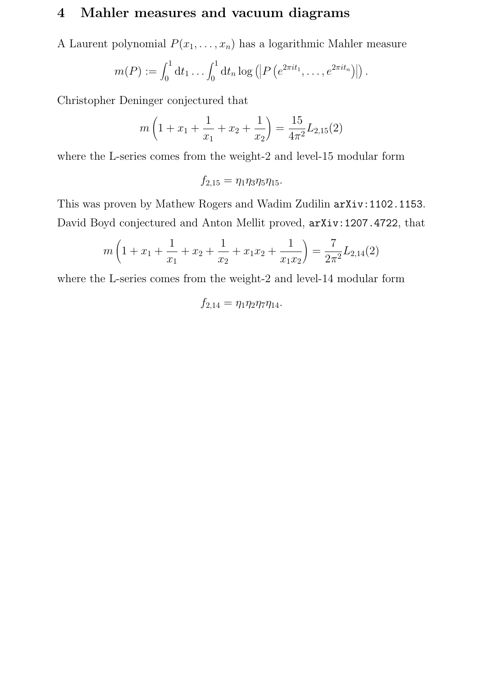# 4 Mahler measures and vacuum diagrams

A Laurent polynomial  $P(x_1, \ldots, x_n)$  has a logarithmic Mahler measure

$$
m(P) := \int_0^1 dt_1 \dots \int_0^1 dt_n \log \left( \left| P\left(e^{2\pi i t_1}, \dots, e^{2\pi i t_n}\right) \right| \right).
$$

Christopher Deninger conjectured that

$$
m\left(1+x_1+\frac{1}{x_1}+x_2+\frac{1}{x_2}\right)=\frac{15}{4\pi^2}L_{2,15}(2)
$$

where the L-series comes from the weight-2 and level-15 modular form

$$
f_{2,15}=\eta_1\eta_3\eta_5\eta_{15}.
$$

This was proven by Mathew Rogers and Wadim Zudilin arXiv:1102.1153. David Boyd conjectured and Anton Mellit proved, arXiv:1207.4722, that

$$
m\left(1+x_1+\frac{1}{x_1}+x_2+\frac{1}{x_2}+x_1x_2+\frac{1}{x_1x_2}\right)=\frac{7}{2\pi^2}L_{2,14}(2)
$$

where the L-series comes from the weight-2 and level-14 modular form

$$
f_{2,14} = \eta_1 \eta_2 \eta_7 \eta_{14}.
$$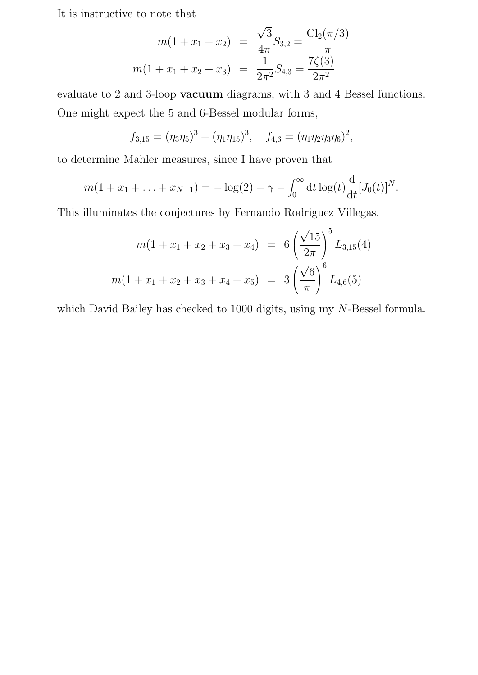It is instructive to note that

$$
m(1 + x_1 + x_2) = \frac{\sqrt{3}}{4\pi} S_{3,2} = \frac{Cl_2(\pi/3)}{\pi}
$$

$$
m(1 + x_1 + x_2 + x_3) = \frac{1}{2\pi^2} S_{4,3} = \frac{7\zeta(3)}{2\pi^2}
$$

evaluate to 2 and 3-loop vacuum diagrams, with 3 and 4 Bessel functions. One might expect the 5 and 6-Bessel modular forms,

$$
f_{3,15} = (\eta_3 \eta_5)^3 + (\eta_1 \eta_{15})^3
$$
,  $f_{4,6} = (\eta_1 \eta_2 \eta_3 \eta_6)^2$ ,

to determine Mahler measures, since I have proven that

$$
m(1+x_1+\ldots+x_{N-1})=-\log(2)-\gamma-\int_0^\infty dt \log(t)\frac{d}{dt}[J_0(t)]^N.
$$

This illuminates the conjectures by Fernando Rodriguez Villegas,

$$
m(1 + x_1 + x_2 + x_3 + x_4) = 6\left(\frac{\sqrt{15}}{2\pi}\right)^5 L_{3,15}(4)
$$

$$
m(1 + x_1 + x_2 + x_3 + x_4 + x_5) = 3\left(\frac{\sqrt{6}}{\pi}\right)^6 L_{4,6}(5)
$$

which David Bailey has checked to 1000 digits, using my N-Bessel formula.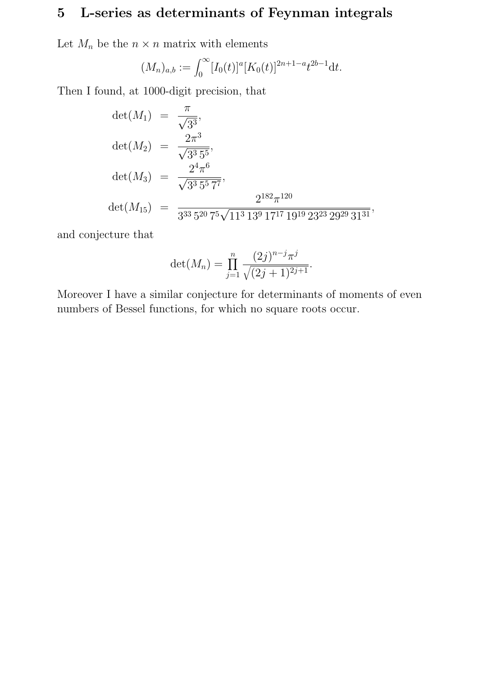# 5 L-series as determinants of Feynman integrals

Let  $M_n$  be the  $n \times n$  matrix with elements

$$
(M_n)_{a,b} := \int_0^\infty [I_0(t)]^a [K_0(t)]^{2n+1-a} t^{2b-1} \mathrm{d}t.
$$

Then I found, at 1000-digit precision, that

$$
det(M_1) = \frac{\pi}{\sqrt{3^3}},
$$
  
\n
$$
det(M_2) = \frac{2\pi^3}{\sqrt{3^3 5^5}},
$$
  
\n
$$
det(M_3) = \frac{2^4 \pi^6}{\sqrt{3^3 5^5 7^7}},
$$
  
\n
$$
det(M_{15}) = \frac{2^{182} \pi^{120}}{3^{33} 5^{20} 7^5 \sqrt{11^3 13^9 17^{17} 19^{19} 23^{23} 29^{29} 31^{31}}},
$$

and conjecture that

$$
\det(M_n) = \prod_{j=1}^n \frac{(2j)^{n-j} \pi^j}{\sqrt{(2j+1)^{2j+1}}}.
$$

Moreover I have a similar conjecture for determinants of moments of even numbers of Bessel functions, for which no square roots occur.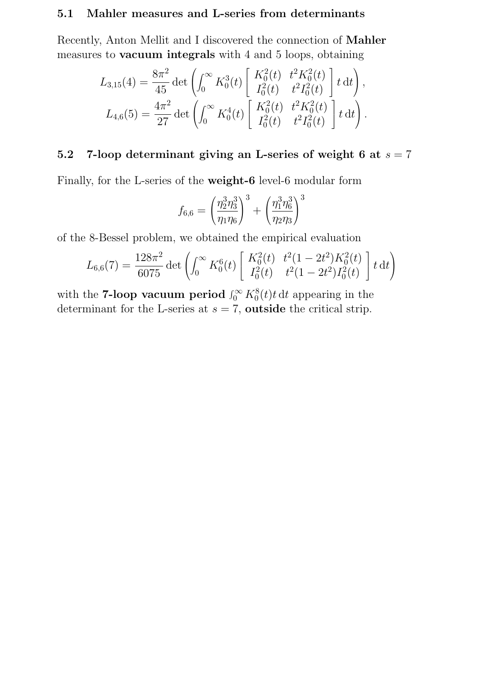#### 5.1 Mahler measures and L-series from determinants

Recently, Anton Mellit and I discovered the connection of Mahler measures to vacuum integrals with 4 and 5 loops, obtaining

$$
L_{3,15}(4) = \frac{8\pi^2}{45} \det \left( \int_0^\infty K_0^3(t) \begin{bmatrix} K_0^2(t) & t^2 K_0^2(t) \\ I_0^2(t) & t^2 I_0^2(t) \end{bmatrix} t \, \mathrm{d}t \right),
$$
  

$$
L_{4,6}(5) = \frac{4\pi^2}{27} \det \left( \int_0^\infty K_0^4(t) \begin{bmatrix} K_0^2(t) & t^2 K_0^2(t) \\ I_0^2(t) & t^2 I_0^2(t) \end{bmatrix} t \, \mathrm{d}t \right).
$$

## 5.2 7-loop determinant giving an L-series of weight 6 at  $s = 7$

Finally, for the L-series of the weight-6 level-6 modular form

$$
f_{6,6} = \left(\frac{\eta_2^3 \eta_3^3}{\eta_1 \eta_6}\right)^3 + \left(\frac{\eta_1^3 \eta_6^3}{\eta_2 \eta_3}\right)^3
$$

of the 8-Bessel problem, we obtained the empirical evaluation

$$
L_{6,6}(7) = \frac{128\pi^2}{6075} \det \left( \int_0^\infty K_0^6(t) \left[ \begin{array}{cc} K_0^2(t) & t^2(1-2t^2)K_0^2(t) \\ I_0^2(t) & t^2(1-2t^2)I_0^2(t) \end{array} \right] t \, \mathrm{d}t \right)
$$

with the **7-loop vacuum period**  $\int_0^\infty K_0^8(t) t \, dt$  appearing in the determinant for the L-series at  $s = 7$ , **outside** the critical strip.